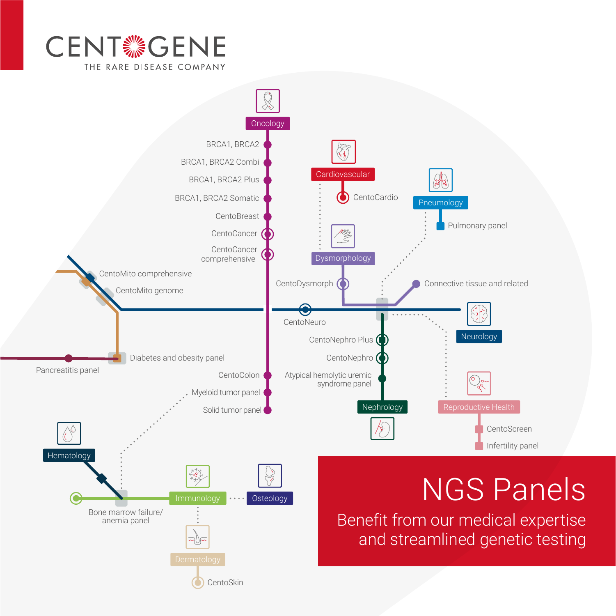

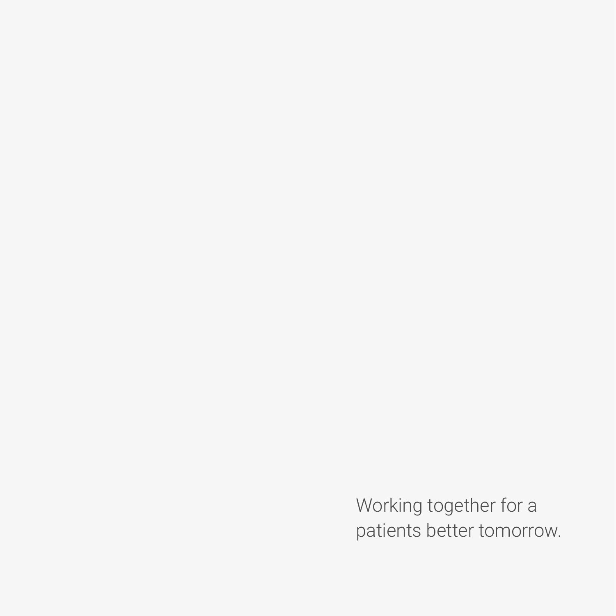Working together for a patients better tomorrow.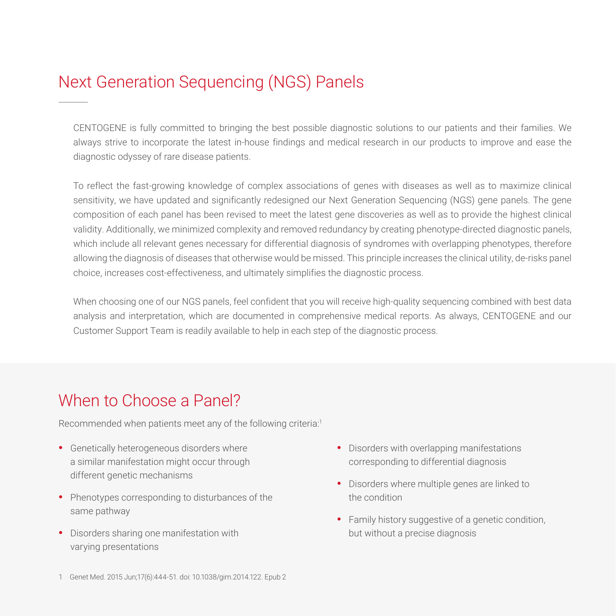# Next Generation Sequencing (NGS) Panels

CENTOGENE is fully committed to bringing the best possible diagnostic solutions to our patients and their families. We always strive to incorporate the latest in-house findings and medical research in our products to improve and ease the diagnostic odyssey of rare disease patients.

To reflect the fast-growing knowledge of complex associations of genes with diseases as well as to maximize clinical sensitivity, we have updated and significantly redesigned our Next Generation Sequencing (NGS) gene panels. The gene composition of each panel has been revised to meet the latest gene discoveries as well as to provide the highest clinical validity. Additionally, we minimized complexity and removed redundancy by creating phenotype-directed diagnostic panels, which include all relevant genes necessary for differential diagnosis of syndromes with overlapping phenotypes, therefore allowing the diagnosis of diseases that otherwise would be missed. This principle increases the clinical utility, de-risks panel choice, increases cost-effectiveness, and ultimately simplifies the diagnostic process.

When choosing one of our NGS panels, feel confident that you will receive high-quality sequencing combined with best data analysis and interpretation, which are documented in comprehensive medical reports. As always, CENTOGENE and our Customer Support Team is readily available to help in each step of the diagnostic process.

## When to Choose a Panel?

Recommended when patients meet any of the following criteria:<sup>1</sup>

- Genetically heterogeneous disorders where a similar manifestation might occur through different genetic mechanisms
- Phenotypes corresponding to disturbances of the same pathway
- Disorders sharing one manifestation with varying presentations
- Disorders with overlapping manifestations corresponding to differential diagnosis
- Disorders where multiple genes are linked to the condition
- Family history suggestive of a genetic condition, but without a precise diagnosis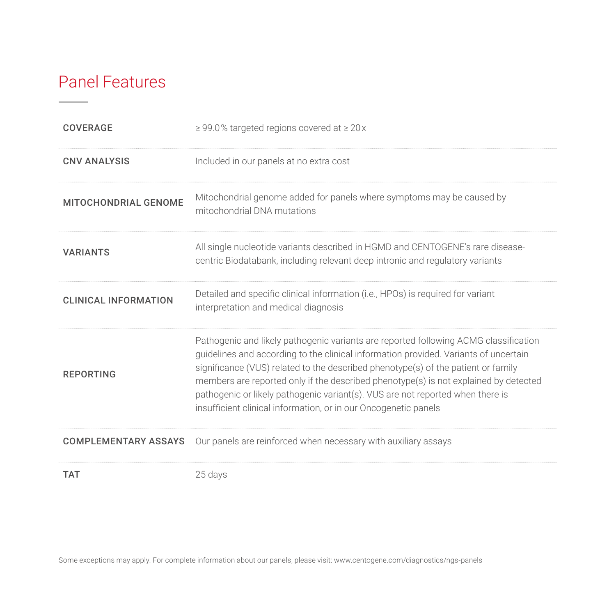## Panel Features

| <b>COVERAGE</b>             | $\geq$ 99.0% targeted regions covered at $\geq$ 20x                                                                                                                                                                                                                                                                                                                                                                                                                                                            |
|-----------------------------|----------------------------------------------------------------------------------------------------------------------------------------------------------------------------------------------------------------------------------------------------------------------------------------------------------------------------------------------------------------------------------------------------------------------------------------------------------------------------------------------------------------|
| <b>CNV ANALYSIS</b>         | Included in our panels at no extra cost                                                                                                                                                                                                                                                                                                                                                                                                                                                                        |
| <b>MITOCHONDRIAL GENOME</b> | Mitochondrial genome added for panels where symptoms may be caused by<br>mitochondrial DNA mutations                                                                                                                                                                                                                                                                                                                                                                                                           |
| <b>VARIANTS</b>             | All single nucleotide variants described in HGMD and CENTOGENE's rare disease-<br>centric Biodatabank, including relevant deep intronic and regulatory variants                                                                                                                                                                                                                                                                                                                                                |
| <b>CLINICAL INFORMATION</b> | Detailed and specific clinical information (i.e., HPOs) is required for variant<br>interpretation and medical diagnosis                                                                                                                                                                                                                                                                                                                                                                                        |
| <b>REPORTING</b>            | Pathogenic and likely pathogenic variants are reported following ACMG classification<br>guidelines and according to the clinical information provided. Variants of uncertain<br>significance (VUS) related to the described phenotype(s) of the patient or family<br>members are reported only if the described phenotype(s) is not explained by detected<br>pathogenic or likely pathogenic variant(s). VUS are not reported when there is<br>insufficient clinical information, or in our Oncogenetic panels |
| <b>COMPLEMENTARY ASSAYS</b> | Our panels are reinforced when necessary with auxiliary assays                                                                                                                                                                                                                                                                                                                                                                                                                                                 |
| <b>TAT</b>                  | 25 days                                                                                                                                                                                                                                                                                                                                                                                                                                                                                                        |

Some exceptions may apply. For complete information about our panels, please visit: [www.centogene.com/diagnostics/ngs-panels](http://www.centogene.com/diagnostics/ngs-panels)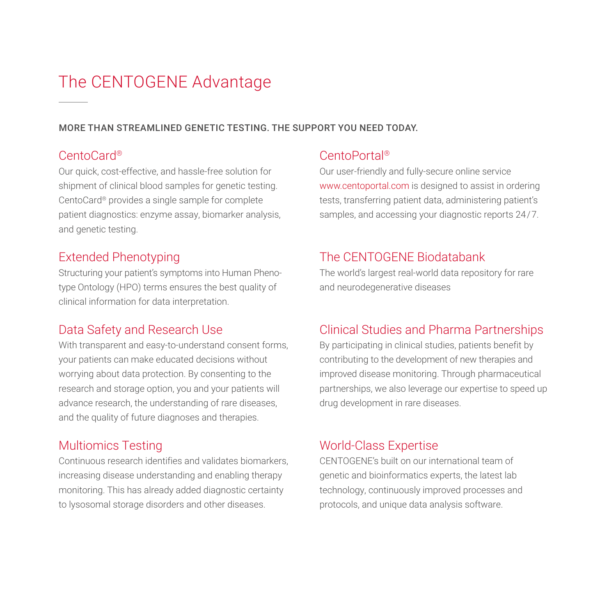# The CENTOGENE Advantage

#### MORE THAN STREAMLINED GENETIC TESTING. THE SUPPORT YOU NEED TODAY.

#### CentoCard®

Our quick, cost-effective, and hassle-free solution for shipment of clinical blood samples for genetic testing. CentoCard® provides a single sample for complete patient diagnostics: enzyme assay, biomarker analysis, and genetic testing.

## Extended Phenotyping

Structuring your patient's symptoms into Human Phenotype Ontology (HPO) terms ensures the best quality of clinical information for data interpretation.

## Data Safety and Research Use

With transparent and easy-to-understand consent forms, your patients can make educated decisions without worrying about data protection. By consenting to the research and storage option, you and your patients will advance research, the understanding of rare diseases, and the quality of future diagnoses and therapies.

## Multiomics Testing

Continuous research identifies and validates biomarkers, increasing disease understanding and enabling therapy monitoring. This has already added diagnostic certainty to lysosomal storage disorders and other diseases.

#### CentoPortal®

Our user-friendly and fully-secure online service [www.centoportal.com](http://www.centoportal.com) is designed to assist in ordering tests, transferring patient data, administering patient's samples, and accessing your diagnostic reports 24/7.

#### The CENTOGENE Biodatabank

The world's largest real-world data repository for rare and neurodegenerative diseases

## Clinical Studies and Pharma Partnerships

By participating in clinical studies, patients benefit by contributing to the development of new therapies and improved disease monitoring. Through pharmaceutical partnerships, we also leverage our expertise to speed up drug development in rare diseases.

## World-Class Expertise

CENTOGENE's built on our international team of genetic and bioinformatics experts, the latest lab technology, continuously improved processes and protocols, and unique data analysis software.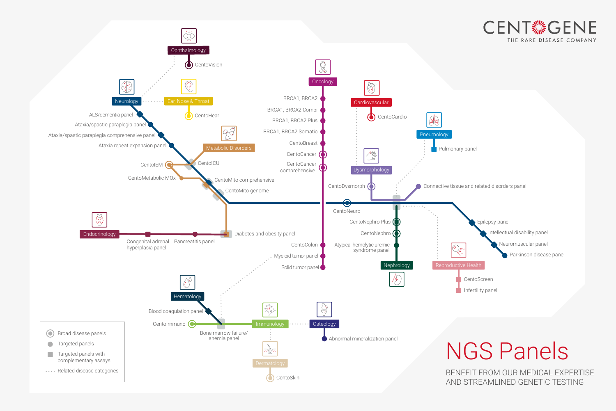BENEFIT FROM OUR MEDICAL EXPERTISE AND STREAMLINED GENETIC TESTING